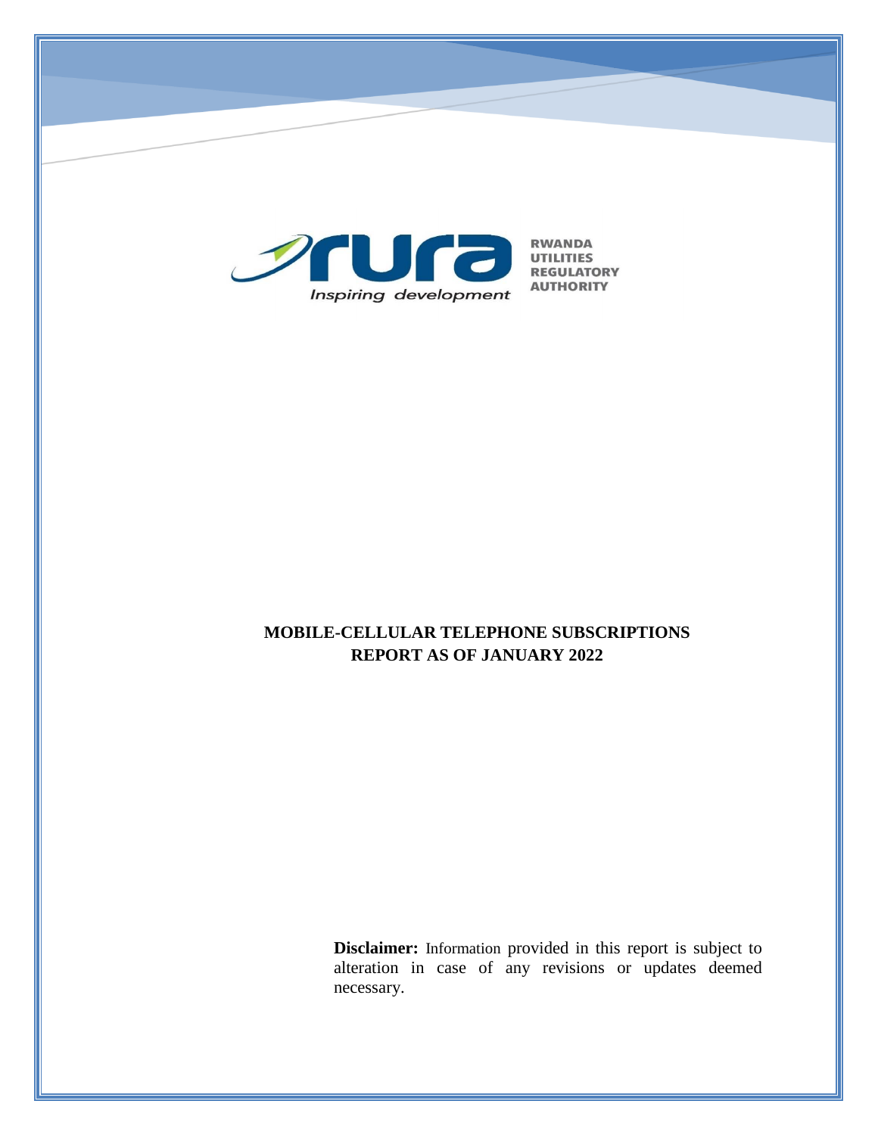

# **MOBILE-CELLULAR TELEPHONE SUBSCRIPTIONS REPORT AS OF JANUARY 2022**

**Disclaimer:** Information provided in this report is subject to alteration in case of any revisions or updates deemed necessary.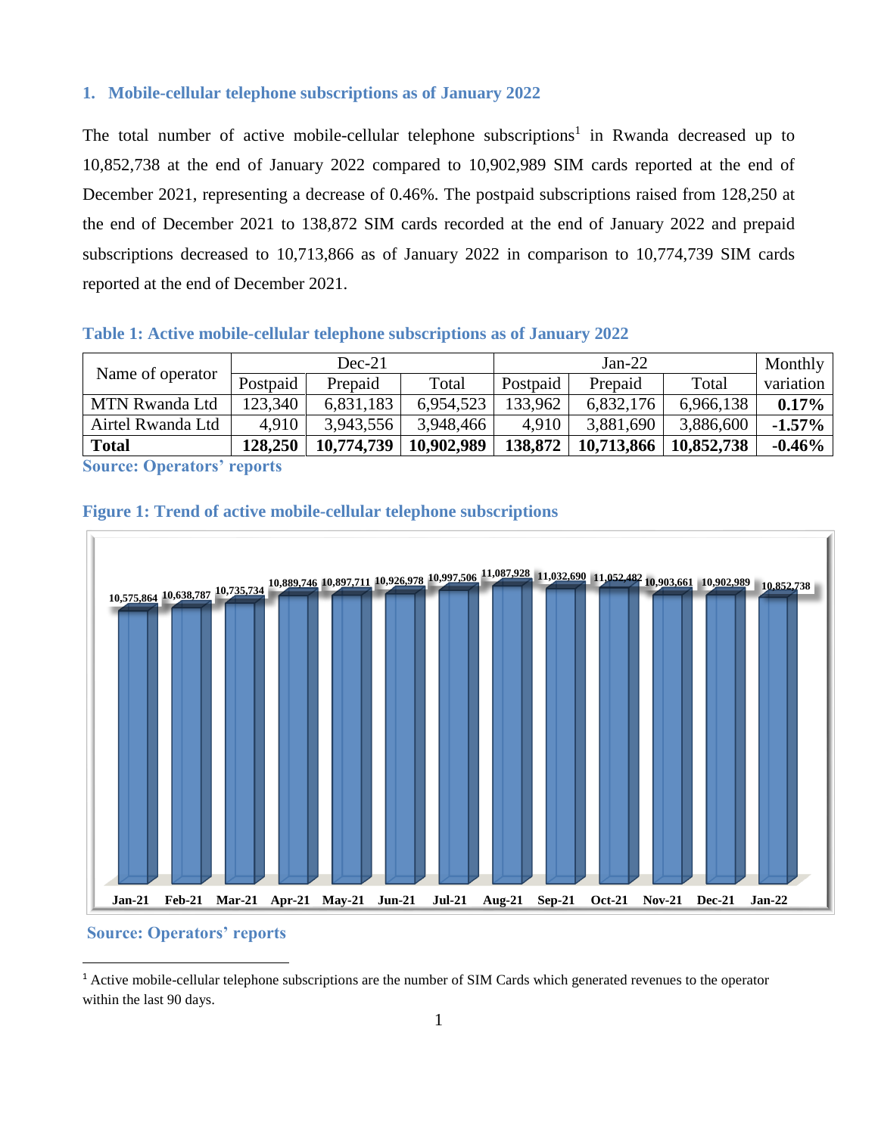### **1. Mobile-cellular telephone subscriptions as of January 2022**

The total number of active mobile-cellular telephone subscriptions<sup>1</sup> in Rwanda decreased up to 10,852,738 at the end of January 2022 compared to 10,902,989 SIM cards reported at the end of December 2021, representing a decrease of 0.46%. The postpaid subscriptions raised from 128,250 at the end of December 2021 to 138,872 SIM cards recorded at the end of January 2022 and prepaid subscriptions decreased to 10,713,866 as of January 2022 in comparison to 10,774,739 SIM cards reported at the end of December 2021.

#### **Table 1: Active mobile-cellular telephone subscriptions as of January 2022**

| $Dec-21$ |            |            | $Jan-22$ |            |            | Monthly   |
|----------|------------|------------|----------|------------|------------|-----------|
| Postpaid | Prepaid    | Total      | Postpaid | Prepaid    | Total      | variation |
| 123,340  | 6,831,183  | 6,954,523  | 133,962  | 6,832,176  | 6,966,138  | $0.17\%$  |
| 4.910    | 3,943,556  | 3,948,466  | 4.910    | 3,881,690  | 3,886,600  | $-1.57\%$ |
| 128,250  | 10.774.739 | 10,902,989 | 138,872  | 10,713,866 | 10,852,738 | $-0.46\%$ |
|          |            |            |          |            |            |           |

**Source: Operators' reports**



### **Figure 1: Trend of active mobile-cellular telephone subscriptions**

### **Source: Operators' reports**

 $\overline{a}$ 

<sup>1</sup> Active mobile-cellular telephone subscriptions are the number of SIM Cards which generated revenues to the operator within the last 90 days.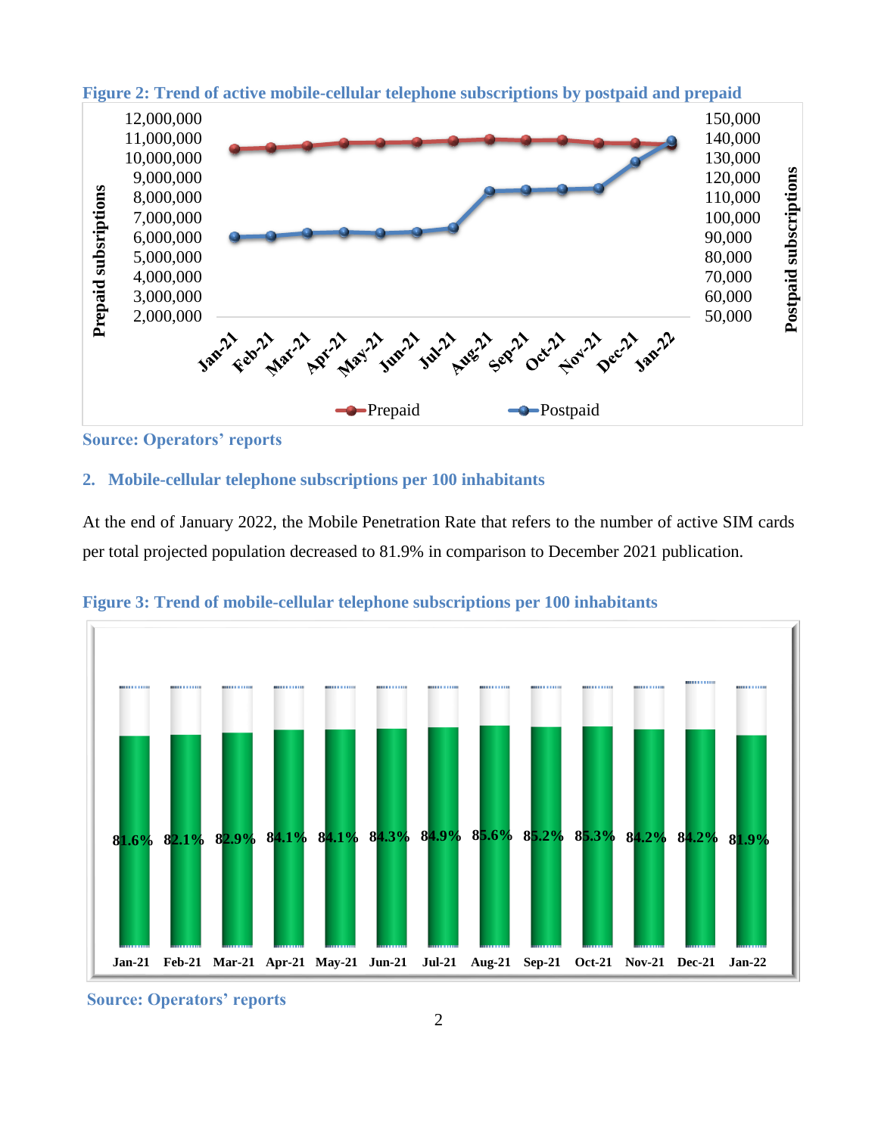

**Figure 2: Trend of active mobile-cellular telephone subscriptions by postpaid and prepaid**

**Source: Operators' reports**

### **2. Mobile-cellular telephone subscriptions per 100 inhabitants**

At the end of January 2022, the Mobile Penetration Rate that refers to the number of active SIM cards per total projected population decreased to 81.9% in comparison to December 2021 publication.



**Figure 3: Trend of mobile-cellular telephone subscriptions per 100 inhabitants**

**Source: Operators' reports**